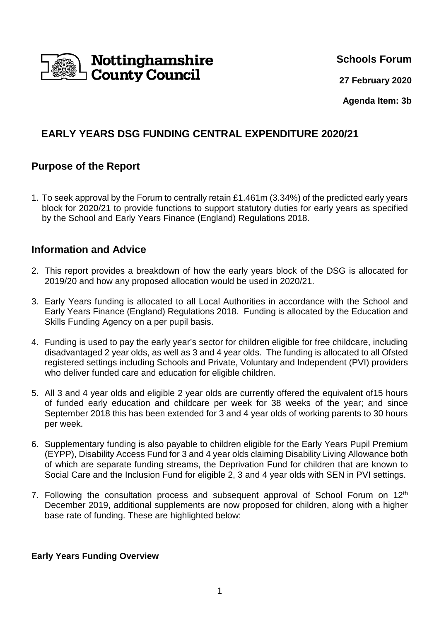

**Schools Forum**

**27 February 2020**

**Agenda Item: 3b** 

# **EARLY YEARS DSG FUNDING CENTRAL EXPENDITURE 2020/21**

## **Purpose of the Report**

1. To seek approval by the Forum to centrally retain £1.461m (3.34%) of the predicted early years block for 2020/21 to provide functions to support statutory duties for early years as specified by the School and Early Years Finance (England) Regulations 2018.

## **Information and Advice**

- 2. This report provides a breakdown of how the early years block of the DSG is allocated for 2019/20 and how any proposed allocation would be used in 2020/21.
- 3. Early Years funding is allocated to all Local Authorities in accordance with the School and Early Years Finance (England) Regulations 2018. Funding is allocated by the Education and Skills Funding Agency on a per pupil basis.
- 4. Funding is used to pay the early year's sector for children eligible for free childcare, including disadvantaged 2 year olds, as well as 3 and 4 year olds. The funding is allocated to all Ofsted registered settings including Schools and Private, Voluntary and Independent (PVI) providers who deliver funded care and education for eligible children.
- 5. All 3 and 4 year olds and eligible 2 year olds are currently offered the equivalent of15 hours of funded early education and childcare per week for 38 weeks of the year; and since September 2018 this has been extended for 3 and 4 year olds of working parents to 30 hours per week.
- 6. Supplementary funding is also payable to children eligible for the Early Years Pupil Premium (EYPP), Disability Access Fund for 3 and 4 year olds claiming Disability Living Allowance both of which are separate funding streams, the Deprivation Fund for children that are known to Social Care and the Inclusion Fund for eligible 2, 3 and 4 year olds with SEN in PVI settings.
- 7. Following the consultation process and subsequent approval of School Forum on 12<sup>th</sup> December 2019, additional supplements are now proposed for children, along with a higher base rate of funding. These are highlighted below:

#### **Early Years Funding Overview**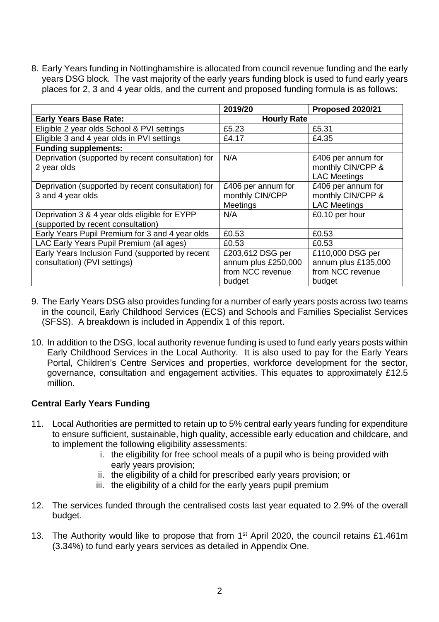8. Early Years funding in Nottinghamshire is allocated from council revenue funding and the early years DSG block. The vast majority of the early years funding block is used to fund early years places for 2, 3 and 4 year olds, and the current and proposed funding formula is as follows:

|                                                                                     | 2019/20                                                               | <b>Proposed 2020/21</b>                                               |  |
|-------------------------------------------------------------------------------------|-----------------------------------------------------------------------|-----------------------------------------------------------------------|--|
| <b>Early Years Base Rate:</b>                                                       | <b>Hourly Rate</b>                                                    |                                                                       |  |
| Eligible 2 year olds School & PVI settings                                          | £5.23                                                                 | £5.31                                                                 |  |
| Eligible 3 and 4 year olds in PVI settings                                          | £4.17                                                                 | £4.35                                                                 |  |
| <b>Funding supplements:</b>                                                         |                                                                       |                                                                       |  |
| Deprivation (supported by recent consultation) for<br>2 year olds                   | N/A                                                                   | £406 per annum for<br>monthly CIN/CPP &<br><b>LAC Meetings</b>        |  |
| Deprivation (supported by recent consultation) for<br>3 and 4 year olds             | £406 per annum for<br>monthly CIN/CPP<br><b>Meetings</b>              | £406 per annum for<br>monthly CIN/CPP &<br><b>LAC Meetings</b>        |  |
| Deprivation 3 & 4 year olds eligible for EYPP<br>(supported by recent consultation) | N/A                                                                   | £0.10 per hour                                                        |  |
| Early Years Pupil Premium for 3 and 4 year olds                                     | £0.53                                                                 | £0.53                                                                 |  |
| LAC Early Years Pupil Premium (all ages)                                            | £0.53                                                                 | £0.53                                                                 |  |
| Early Years Inclusion Fund (supported by recent<br>consultation) (PVI settings)     | £203,612 DSG per<br>annum plus £250,000<br>from NCC revenue<br>budget | £110,000 DSG per<br>annum plus £135,000<br>from NCC revenue<br>budget |  |

- 9. The Early Years DSG also provides funding for a number of early years posts across two teams in the council, Early Childhood Services (ECS) and Schools and Families Specialist Services (SFSS). A breakdown is included in Appendix 1 of this report.
- 10. In addition to the DSG, local authority revenue funding is used to fund early years posts within Early Childhood Services in the Local Authority. It is also used to pay for the Early Years Portal, Children's Centre Services and properties, workforce development for the sector, governance, consultation and engagement activities. This equates to approximately £12.5 million.

## **Central Early Years Funding**

- 11. Local Authorities are permitted to retain up to 5% central early years funding for expenditure to ensure sufficient, sustainable, high quality, accessible early education and childcare, and to implement the following eligibility assessments:
	- i. the eligibility for free school meals of a pupil who is being provided with early years provision;
	- ii. the eligibility of a child for prescribed early years provision; or
	- iii. the eligibility of a child for the early years pupil premium
- 12. The services funded through the centralised costs last year equated to 2.9% of the overall budget.
- 13. The Authority would like to propose that from 1<sup>st</sup> April 2020, the council retains £1.461m (3.34%) to fund early years services as detailed in Appendix One.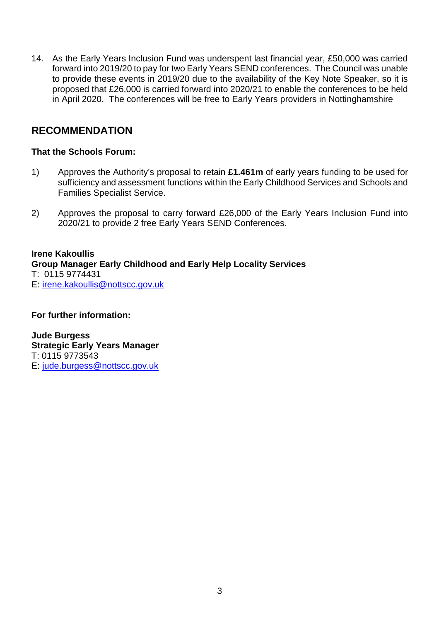14. As the Early Years Inclusion Fund was underspent last financial year, £50,000 was carried forward into 2019/20 to pay for two Early Years SEND conferences. The Council was unable to provide these events in 2019/20 due to the availability of the Key Note Speaker, so it is proposed that £26,000 is carried forward into 2020/21 to enable the conferences to be held in April 2020. The conferences will be free to Early Years providers in Nottinghamshire

## **RECOMMENDATION**

## **That the Schools Forum:**

- 1) Approves the Authority's proposal to retain **£1.461m** of early years funding to be used for sufficiency and assessment functions within the Early Childhood Services and Schools and Families Specialist Service.
- 2) Approves the proposal to carry forward £26,000 of the Early Years Inclusion Fund into 2020/21 to provide 2 free Early Years SEND Conferences.

#### **Irene Kakoullis Group Manager Early Childhood and Early Help Locality Services**  T: 0115 9774431 E: irene.kakoullis@nottscc.gov.uk

### **For further information:**

**Jude Burgess Strategic Early Years Manager**  T: 0115 9773543 E: jude.burgess@nottscc.gov.uk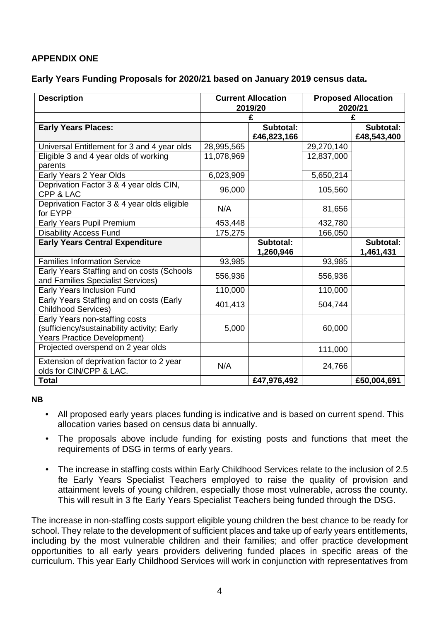## **APPENDIX ONE**

### **Early Years Funding Proposals for 2020/21 based on January 2019 census data.**

| <b>Description</b>                                                                                                  |            | <b>Current Allocation</b> |            | <b>Proposed Allocation</b> |  |
|---------------------------------------------------------------------------------------------------------------------|------------|---------------------------|------------|----------------------------|--|
|                                                                                                                     |            | 2019/20                   |            | 2020/21                    |  |
|                                                                                                                     |            |                           |            |                            |  |
| <b>Early Years Places:</b>                                                                                          |            | Subtotal:                 |            | Subtotal:                  |  |
|                                                                                                                     |            | £46,823,166               |            | £48,543,400                |  |
| Universal Entitlement for 3 and 4 year olds                                                                         | 28,995,565 |                           | 29,270,140 |                            |  |
| Eligible 3 and 4 year olds of working                                                                               | 11,078,969 |                           | 12,837,000 |                            |  |
| parents                                                                                                             |            |                           |            |                            |  |
| Early Years 2 Year Olds                                                                                             | 6,023,909  |                           | 5,650,214  |                            |  |
| Deprivation Factor 3 & 4 year olds CIN,                                                                             | 96,000     |                           | 105,560    |                            |  |
| CPP & LAC                                                                                                           |            |                           |            |                            |  |
| Deprivation Factor 3 & 4 year olds eligible                                                                         | N/A        |                           | 81,656     |                            |  |
| for EYPP                                                                                                            |            |                           |            |                            |  |
| Early Years Pupil Premium                                                                                           | 453,448    |                           | 432,780    |                            |  |
| <b>Disability Access Fund</b>                                                                                       | 175,275    |                           | 166,050    |                            |  |
| <b>Early Years Central Expenditure</b>                                                                              |            | Subtotal:<br>1,260,946    |            | Subtotal:<br>1,461,431     |  |
| <b>Families Information Service</b>                                                                                 | 93,985     |                           | 93,985     |                            |  |
| Early Years Staffing and on costs (Schools<br>and Families Specialist Services)                                     | 556,936    |                           | 556,936    |                            |  |
| Early Years Inclusion Fund                                                                                          | 110,000    |                           | 110,000    |                            |  |
| Early Years Staffing and on costs (Early<br><b>Childhood Services)</b>                                              | 401,413    |                           | 504,744    |                            |  |
| Early Years non-staffing costs<br>(sufficiency/sustainability activity; Early<br><b>Years Practice Development)</b> | 5,000      |                           | 60,000     |                            |  |
| Projected overspend on 2 year olds                                                                                  |            |                           | 111,000    |                            |  |
| Extension of deprivation factor to 2 year<br>olds for CIN/CPP & LAC.                                                | N/A        |                           | 24,766     |                            |  |
| Total                                                                                                               |            | £47,976,492               |            | £50,004,691                |  |

#### **NB**

- All proposed early years places funding is indicative and is based on current spend. This allocation varies based on census data bi annually.
- The proposals above include funding for existing posts and functions that meet the requirements of DSG in terms of early years.
- The increase in staffing costs within Early Childhood Services relate to the inclusion of 2.5 fte Early Years Specialist Teachers employed to raise the quality of provision and attainment levels of young children, especially those most vulnerable, across the county. This will result in 3 fte Early Years Specialist Teachers being funded through the DSG.

The increase in non-staffing costs support eligible young children the best chance to be ready for school. They relate to the development of sufficient places and take up of early years entitlements, including by the most vulnerable children and their families; and offer practice development opportunities to all early years providers delivering funded places in specific areas of the curriculum. This year Early Childhood Services will work in conjunction with representatives from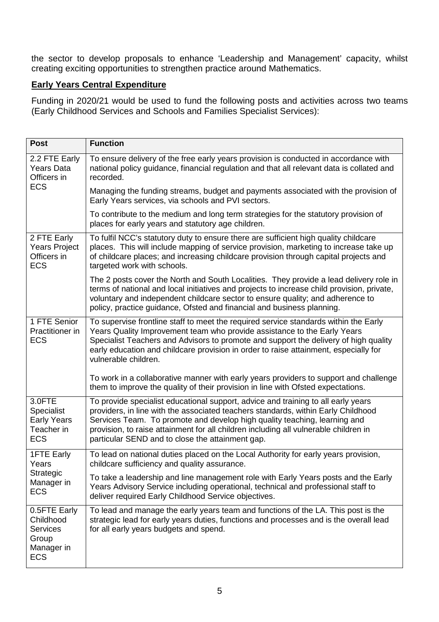the sector to develop proposals to enhance 'Leadership and Management' capacity, whilst creating exciting opportunities to strengthen practice around Mathematics.

## **Early Years Central Expenditure**

Funding in 2020/21 would be used to fund the following posts and activities across two teams (Early Childhood Services and Schools and Families Specialist Services):

| <b>Post</b>                                                                       | <b>Function</b>                                                                                                                                                                                                                                                                                                                                                                                 |
|-----------------------------------------------------------------------------------|-------------------------------------------------------------------------------------------------------------------------------------------------------------------------------------------------------------------------------------------------------------------------------------------------------------------------------------------------------------------------------------------------|
| 2.2 FTE Early<br><b>Years Data</b><br>Officers in                                 | To ensure delivery of the free early years provision is conducted in accordance with<br>national policy guidance, financial regulation and that all relevant data is collated and<br>recorded.                                                                                                                                                                                                  |
| <b>ECS</b>                                                                        | Managing the funding streams, budget and payments associated with the provision of<br>Early Years services, via schools and PVI sectors.                                                                                                                                                                                                                                                        |
|                                                                                   | To contribute to the medium and long term strategies for the statutory provision of<br>places for early years and statutory age children.                                                                                                                                                                                                                                                       |
| 2 FTE Early<br><b>Years Project</b><br>Officers in<br><b>ECS</b>                  | To fulfil NCC's statutory duty to ensure there are sufficient high quality childcare<br>places. This will include mapping of service provision, marketing to increase take up<br>of childcare places; and increasing childcare provision through capital projects and<br>targeted work with schools.                                                                                            |
|                                                                                   | The 2 posts cover the North and South Localities. They provide a lead delivery role in<br>terms of national and local initiatives and projects to increase child provision, private,<br>voluntary and independent childcare sector to ensure quality; and adherence to<br>policy, practice guidance, Ofsted and financial and business planning.                                                |
| 1 FTE Senior<br>Practitioner in<br><b>ECS</b>                                     | To supervise frontline staff to meet the required service standards within the Early<br>Years Quality Improvement team who provide assistance to the Early Years<br>Specialist Teachers and Advisors to promote and support the delivery of high quality<br>early education and childcare provision in order to raise attainment, especially for<br>vulnerable children.                        |
|                                                                                   | To work in a collaborative manner with early years providers to support and challenge<br>them to improve the quality of their provision in line with Ofsted expectations.                                                                                                                                                                                                                       |
| 3.0FTE<br>Specialist<br><b>Early Years</b><br>Teacher in<br><b>ECS</b>            | To provide specialist educational support, advice and training to all early years<br>providers, in line with the associated teachers standards, within Early Childhood<br>Services Team. To promote and develop high quality teaching, learning and<br>provision, to raise attainment for all children including all vulnerable children in<br>particular SEND and to close the attainment gap. |
| <b>1FTE Early</b><br>Years<br>Strategic<br>Manager in<br><b>ECS</b>               | To lead on national duties placed on the Local Authority for early years provision,<br>childcare sufficiency and quality assurance.                                                                                                                                                                                                                                                             |
|                                                                                   | To take a leadership and line management role with Early Years posts and the Early<br>Years Advisory Service including operational, technical and professional staff to<br>deliver required Early Childhood Service objectives.                                                                                                                                                                 |
| 0.5FTE Early<br>Childhood<br><b>Services</b><br>Group<br>Manager in<br><b>ECS</b> | To lead and manage the early years team and functions of the LA. This post is the<br>strategic lead for early years duties, functions and processes and is the overall lead<br>for all early years budgets and spend.                                                                                                                                                                           |